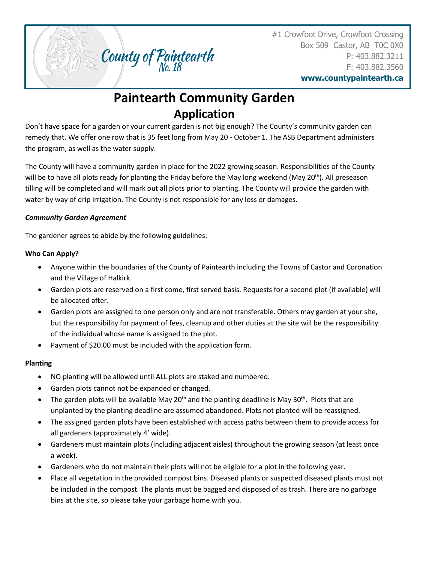#1 Crowfoot Drive, Crowfoot Crossing Box 509 Castor, AB T0C 0X0 P: 403.882.3211 F: 403.882.3560

**www.countypaintearth.ca**

# **Paintearth Community Garden Application**

County of Paintearth

Don't have space for a garden or your current garden is not big enough? The County's community garden can remedy that. We offer one row that is 35 feet long from May 20 - October 1. The ASB Department administers the program, as well as the water supply.

The County will have a community garden in place for the 2022 growing season. Responsibilities of the County will be to have all plots ready for planting the Friday before the May long weekend (May  $20^{th}$ ). All preseason tilling will be completed and will mark out all plots prior to planting. The County will provide the garden with water by way of drip irrigation. The County is not responsible for any loss or damages.

## *Community Garden Agreement*

The gardener agrees to abide by the following guidelines:

## **Who Can Apply?**

- Anyone within the boundaries of the County of Paintearth including the Towns of Castor and Coronation and the Village of Halkirk.
- Garden plots are reserved on a first come, first served basis. Requests for a second plot (if available) will be allocated after.
- Garden plots are assigned to one person only and are not transferable. Others may garden at your site, but the responsibility for payment of fees, cleanup and other duties at the site will be the responsibility of the individual whose name is assigned to the plot.
- Payment of \$20.00 must be included with the application form.

## **Planting**

- NO planting will be allowed until ALL plots are staked and numbered.
- Garden plots cannot not be expanded or changed.
- The garden plots will be available May 20<sup>th</sup> and the planting deadline is May 30<sup>th</sup>. Plots that are unplanted by the planting deadline are assumed abandoned. Plots not planted will be reassigned.
- The assigned garden plots have been established with access paths between them to provide access for all gardeners (approximately 4' wide).
- Gardeners must maintain plots (including adjacent aisles) throughout the growing season (at least once a week).
- Gardeners who do not maintain their plots will not be eligible for a plot in the following year.
- Place all vegetation in the provided compost bins. Diseased plants or suspected diseased plants must not be included in the compost. The plants must be bagged and disposed of as trash. There are no garbage bins at the site, so please take your garbage home with you.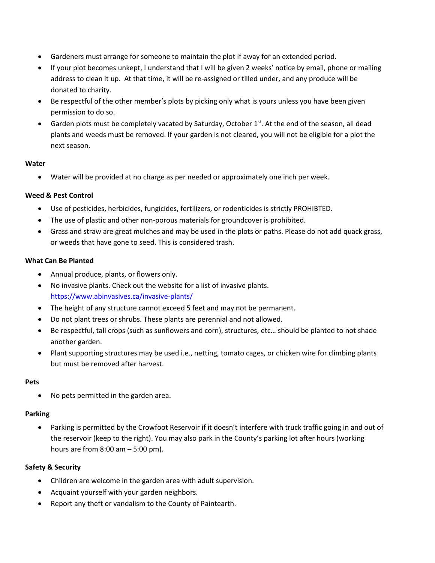- Gardeners must arrange for someone to maintain the plot if away for an extended period.
- If your plot becomes unkept, I understand that I will be given 2 weeks' notice by email, phone or mailing address to clean it up. At that time, it will be re-assigned or tilled under, and any produce will be donated to charity.
- Be respectful of the other member's plots by picking only what is yours unless you have been given permission to do so.
- Garden plots must be completely vacated by Saturday, October  $1<sup>st</sup>$ . At the end of the season, all dead plants and weeds must be removed. If your garden is not cleared, you will not be eligible for a plot the next season.

#### **Water**

• Water will be provided at no charge as per needed or approximately one inch per week.

### **Weed & Pest Control**

- Use of pesticides, herbicides, fungicides, fertilizers, or rodenticides is strictly PROHIBTED.
- The use of plastic and other non-porous materials for groundcover is prohibited.
- Grass and straw are great mulches and may be used in the plots or paths. Please do not add quack grass, or weeds that have gone to seed. This is considered trash.

#### **What Can Be Planted**

- Annual produce, plants, or flowers only.
- No invasive plants. Check out the website for a list of invasive plants. <https://www.abinvasives.ca/invasive-plants/>
- The height of any structure cannot exceed 5 feet and may not be permanent.
- Do not plant trees or shrubs. These plants are perennial and not allowed.
- Be respectful, tall crops (such as sunflowers and corn), structures, etc… should be planted to not shade another garden.
- Plant supporting structures may be used i.e., netting, tomato cages, or chicken wire for climbing plants but must be removed after harvest.

#### **Pets**

• No pets permitted in the garden area.

#### **Parking**

• Parking is permitted by the Crowfoot Reservoir if it doesn't interfere with truck traffic going in and out of the reservoir (keep to the right). You may also park in the County's parking lot after hours (working hours are from 8:00 am – 5:00 pm).

#### **Safety & Security**

- Children are welcome in the garden area with adult supervision.
- Acquaint yourself with your garden neighbors.
- Report any theft or vandalism to the County of Paintearth.